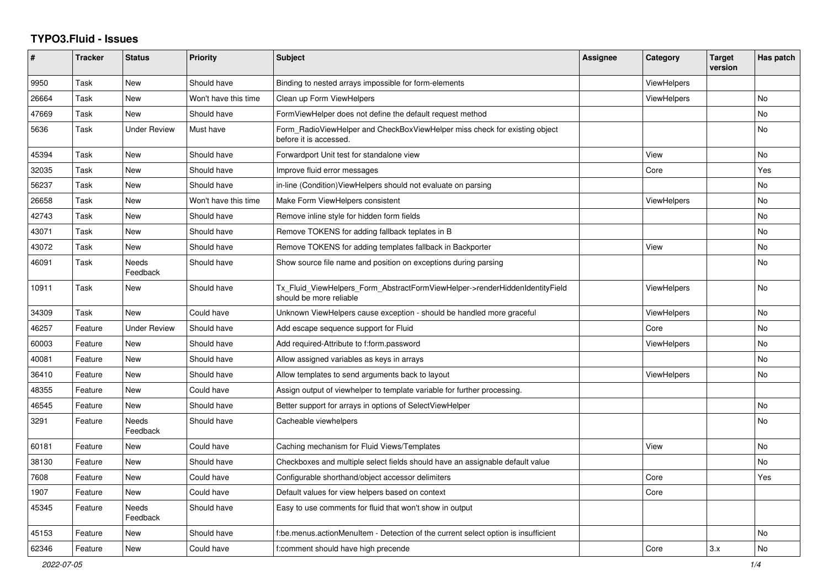## **TYPO3.Fluid - Issues**

| $\pmb{\#}$ | <b>Tracker</b> | <b>Status</b>       | <b>Priority</b>      | Subject                                                                                                | Assignee | Category           | <b>Target</b><br>version | Has patch |
|------------|----------------|---------------------|----------------------|--------------------------------------------------------------------------------------------------------|----------|--------------------|--------------------------|-----------|
| 9950       | Task           | <b>New</b>          | Should have          | Binding to nested arrays impossible for form-elements                                                  |          | <b>ViewHelpers</b> |                          |           |
| 26664      | Task           | New                 | Won't have this time | Clean up Form ViewHelpers                                                                              |          | ViewHelpers        |                          | <b>No</b> |
| 47669      | Task           | New                 | Should have          | FormViewHelper does not define the default request method                                              |          |                    |                          | No        |
| 5636       | Task           | <b>Under Review</b> | Must have            | Form RadioViewHelper and CheckBoxViewHelper miss check for existing object<br>before it is accessed.   |          |                    |                          | No        |
| 45394      | Task           | <b>New</b>          | Should have          | Forwardport Unit test for standalone view                                                              |          | View               |                          | <b>No</b> |
| 32035      | Task           | New                 | Should have          | Improve fluid error messages                                                                           |          | Core               |                          | Yes       |
| 56237      | Task           | New                 | Should have          | in-line (Condition) View Helpers should not evaluate on parsing                                        |          |                    |                          | No        |
| 26658      | Task           | <b>New</b>          | Won't have this time | Make Form ViewHelpers consistent                                                                       |          | ViewHelpers        |                          | <b>No</b> |
| 42743      | Task           | <b>New</b>          | Should have          | Remove inline style for hidden form fields                                                             |          |                    |                          | <b>No</b> |
| 43071      | Task           | <b>New</b>          | Should have          | Remove TOKENS for adding fallback teplates in B                                                        |          |                    |                          | <b>No</b> |
| 43072      | Task           | New                 | Should have          | Remove TOKENS for adding templates fallback in Backporter                                              |          | View               |                          | No        |
| 46091      | Task           | Needs<br>Feedback   | Should have          | Show source file name and position on exceptions during parsing                                        |          |                    |                          | No        |
| 10911      | Task           | New                 | Should have          | Tx Fluid ViewHelpers Form AbstractFormViewHelper->renderHiddenIdentityField<br>should be more reliable |          | ViewHelpers        |                          | No        |
| 34309      | Task           | <b>New</b>          | Could have           | Unknown ViewHelpers cause exception - should be handled more graceful                                  |          | ViewHelpers        |                          | No        |
| 46257      | Feature        | <b>Under Review</b> | Should have          | Add escape sequence support for Fluid                                                                  |          | Core               |                          | No        |
| 60003      | Feature        | <b>New</b>          | Should have          | Add required-Attribute to f:form.password                                                              |          | ViewHelpers        |                          | <b>No</b> |
| 40081      | Feature        | <b>New</b>          | Should have          | Allow assigned variables as keys in arrays                                                             |          |                    |                          | <b>No</b> |
| 36410      | Feature        | <b>New</b>          | Should have          | Allow templates to send arguments back to layout                                                       |          | ViewHelpers        |                          | <b>No</b> |
| 48355      | Feature        | New                 | Could have           | Assign output of viewhelper to template variable for further processing.                               |          |                    |                          |           |
| 46545      | Feature        | New                 | Should have          | Better support for arrays in options of SelectViewHelper                                               |          |                    |                          | No        |
| 3291       | Feature        | Needs<br>Feedback   | Should have          | Cacheable viewhelpers                                                                                  |          |                    |                          | No        |
| 60181      | Feature        | New                 | Could have           | Caching mechanism for Fluid Views/Templates                                                            |          | View               |                          | No        |
| 38130      | Feature        | New                 | Should have          | Checkboxes and multiple select fields should have an assignable default value                          |          |                    |                          | No        |
| 7608       | Feature        | <b>New</b>          | Could have           | Configurable shorthand/object accessor delimiters                                                      |          | Core               |                          | Yes       |
| 1907       | Feature        | New                 | Could have           | Default values for view helpers based on context                                                       |          | Core               |                          |           |
| 45345      | Feature        | Needs<br>Feedback   | Should have          | Easy to use comments for fluid that won't show in output                                               |          |                    |                          |           |
| 45153      | Feature        | New                 | Should have          | f:be.menus.actionMenuItem - Detection of the current select option is insufficient                     |          |                    |                          | No        |
| 62346      | Feature        | New                 | Could have           | f:comment should have high precende                                                                    |          | Core               | 3.x                      | No        |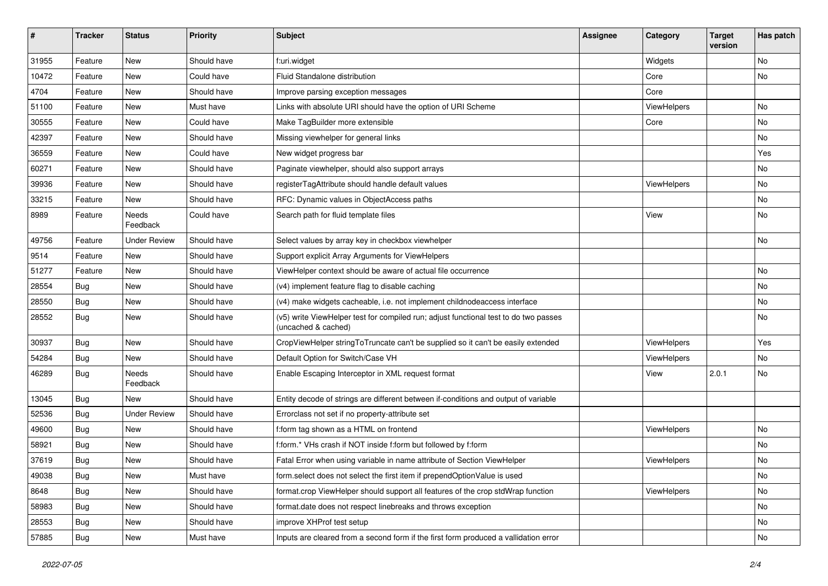| #     | <b>Tracker</b> | <b>Status</b>            | <b>Priority</b> | <b>Subject</b>                                                                                              | Assignee | Category    | <b>Target</b><br>version | Has patch |
|-------|----------------|--------------------------|-----------------|-------------------------------------------------------------------------------------------------------------|----------|-------------|--------------------------|-----------|
| 31955 | Feature        | New                      | Should have     | f:uri.widget                                                                                                |          | Widgets     |                          | <b>No</b> |
| 10472 | Feature        | New                      | Could have      | Fluid Standalone distribution                                                                               |          | Core        |                          | No        |
| 4704  | Feature        | New                      | Should have     | Improve parsing exception messages                                                                          |          | Core        |                          |           |
| 51100 | Feature        | New                      | Must have       | Links with absolute URI should have the option of URI Scheme                                                |          | ViewHelpers |                          | No        |
| 30555 | Feature        | New                      | Could have      | Make TagBuilder more extensible                                                                             |          | Core        |                          | No        |
| 42397 | Feature        | New                      | Should have     | Missing viewhelper for general links                                                                        |          |             |                          | No        |
| 36559 | Feature        | New                      | Could have      | New widget progress bar                                                                                     |          |             |                          | Yes       |
| 60271 | Feature        | New                      | Should have     | Paginate viewhelper, should also support arrays                                                             |          |             |                          | No        |
| 39936 | Feature        | New                      | Should have     | registerTagAttribute should handle default values                                                           |          | ViewHelpers |                          | No        |
| 33215 | Feature        | New                      | Should have     | RFC: Dynamic values in ObjectAccess paths                                                                   |          |             |                          | No        |
| 8989  | Feature        | <b>Needs</b><br>Feedback | Could have      | Search path for fluid template files                                                                        |          | View        |                          | No        |
| 49756 | Feature        | <b>Under Review</b>      | Should have     | Select values by array key in checkbox viewhelper                                                           |          |             |                          | No        |
| 9514  | Feature        | New                      | Should have     | Support explicit Array Arguments for ViewHelpers                                                            |          |             |                          |           |
| 51277 | Feature        | New                      | Should have     | ViewHelper context should be aware of actual file occurrence                                                |          |             |                          | <b>No</b> |
| 28554 | Bug            | New                      | Should have     | (v4) implement feature flag to disable caching                                                              |          |             |                          | No        |
| 28550 | Bug            | New                      | Should have     | (v4) make widgets cacheable, i.e. not implement childnodeaccess interface                                   |          |             |                          | No        |
| 28552 | Bug            | New                      | Should have     | (v5) write ViewHelper test for compiled run; adjust functional test to do two passes<br>(uncached & cached) |          |             |                          | No        |
| 30937 | Bug            | New                      | Should have     | CropViewHelper stringToTruncate can't be supplied so it can't be easily extended                            |          | ViewHelpers |                          | Yes       |
| 54284 | Bug            | New                      | Should have     | Default Option for Switch/Case VH                                                                           |          | ViewHelpers |                          | No        |
| 46289 | Bug            | <b>Needs</b><br>Feedback | Should have     | Enable Escaping Interceptor in XML request format                                                           |          | View        | 2.0.1                    | No        |
| 13045 | Bug            | New                      | Should have     | Entity decode of strings are different between if-conditions and output of variable                         |          |             |                          |           |
| 52536 | <b>Bug</b>     | <b>Under Review</b>      | Should have     | Errorclass not set if no property-attribute set                                                             |          |             |                          |           |
| 49600 | Bug            | New                      | Should have     | f:form tag shown as a HTML on frontend                                                                      |          | ViewHelpers |                          | No        |
| 58921 | Bug            | New                      | Should have     | f:form.* VHs crash if NOT inside f:form but followed by f:form                                              |          |             |                          | <b>No</b> |
| 37619 | <b>Bug</b>     | New                      | Should have     | Fatal Error when using variable in name attribute of Section ViewHelper                                     |          | ViewHelpers |                          | No        |
| 49038 | <b>Bug</b>     | New                      | Must have       | form.select does not select the first item if prependOptionValue is used                                    |          |             |                          | No        |
| 8648  | <b>Bug</b>     | New                      | Should have     | format.crop ViewHelper should support all features of the crop stdWrap function                             |          | ViewHelpers |                          | No        |
| 58983 | Bug            | New                      | Should have     | format.date does not respect linebreaks and throws exception                                                |          |             |                          | No        |
| 28553 | Bug            | New                      | Should have     | improve XHProf test setup                                                                                   |          |             |                          | No        |
| 57885 | <b>Bug</b>     | New                      | Must have       | Inputs are cleared from a second form if the first form produced a vallidation error                        |          |             |                          | No        |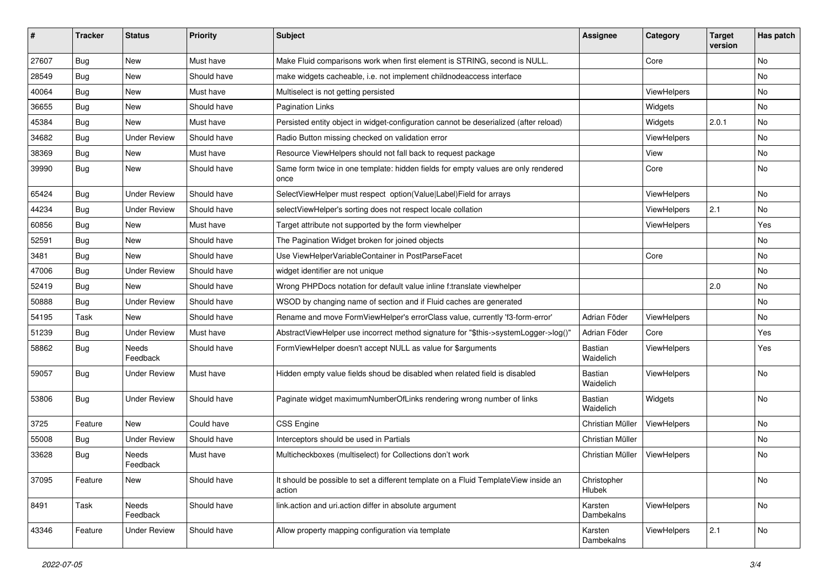| ∦     | <b>Tracker</b> | <b>Status</b>       | <b>Priority</b> | <b>Subject</b>                                                                                | <b>Assignee</b>       | Category    | <b>Target</b><br>version | Has patch |
|-------|----------------|---------------------|-----------------|-----------------------------------------------------------------------------------------------|-----------------------|-------------|--------------------------|-----------|
| 27607 | Bug            | New                 | Must have       | Make Fluid comparisons work when first element is STRING, second is NULL.                     |                       | Core        |                          | No        |
| 28549 | Bug            | New                 | Should have     | make widgets cacheable, i.e. not implement childnodeaccess interface                          |                       |             |                          | No        |
| 40064 | Bug            | New                 | Must have       | Multiselect is not getting persisted                                                          |                       | ViewHelpers |                          | No        |
| 36655 | Bug            | New                 | Should have     | <b>Pagination Links</b>                                                                       |                       | Widgets     |                          | No        |
| 45384 | <b>Bug</b>     | New                 | Must have       | Persisted entity object in widget-configuration cannot be deserialized (after reload)         |                       | Widgets     | 2.0.1                    | No        |
| 34682 | Bug            | <b>Under Review</b> | Should have     | Radio Button missing checked on validation error                                              |                       | ViewHelpers |                          | No.       |
| 38369 | Bug            | New                 | Must have       | Resource ViewHelpers should not fall back to request package                                  |                       | View        |                          | No        |
| 39990 | Bug            | New                 | Should have     | Same form twice in one template: hidden fields for empty values are only rendered<br>once     |                       | Core        |                          | No        |
| 65424 | Bug            | <b>Under Review</b> | Should have     | SelectViewHelper must respect option(Value Label)Field for arrays                             |                       | ViewHelpers |                          | No.       |
| 44234 | Bug            | <b>Under Review</b> | Should have     | selectViewHelper's sorting does not respect locale collation                                  |                       | ViewHelpers | 2.1                      | No        |
| 60856 | Bug            | New                 | Must have       | Target attribute not supported by the form viewhelper                                         |                       | ViewHelpers |                          | Yes       |
| 52591 | Bug            | New                 | Should have     | The Pagination Widget broken for joined objects                                               |                       |             |                          | No        |
| 3481  | Bug            | <b>New</b>          | Should have     | Use ViewHelperVariableContainer in PostParseFacet                                             |                       | Core        |                          | No.       |
| 47006 | Bug            | <b>Under Review</b> | Should have     | widget identifier are not unique                                                              |                       |             |                          | No        |
| 52419 | Bug            | New                 | Should have     | Wrong PHPDocs notation for default value inline f:translate viewhelper                        |                       |             | 2.0                      | No        |
| 50888 | Bug            | <b>Under Review</b> | Should have     | WSOD by changing name of section and if Fluid caches are generated                            |                       |             |                          | No        |
| 54195 | Task           | New                 | Should have     | Rename and move FormViewHelper's errorClass value, currently 'f3-form-error'                  | Adrian Föder          | ViewHelpers |                          | No        |
| 51239 | Bug            | <b>Under Review</b> | Must have       | AbstractViewHelper use incorrect method signature for "\$this->systemLogger->log()"           | Adrian Föder          | Core        |                          | Yes       |
| 58862 | <b>Bug</b>     | Needs<br>Feedback   | Should have     | FormViewHelper doesn't accept NULL as value for \$arguments                                   | Bastian<br>Waidelich  | ViewHelpers |                          | Yes       |
| 59057 | Bug            | <b>Under Review</b> | Must have       | Hidden empty value fields shoud be disabled when related field is disabled                    | Bastian<br>Waidelich  | ViewHelpers |                          | No        |
| 53806 | <b>Bug</b>     | <b>Under Review</b> | Should have     | Paginate widget maximumNumberOfLinks rendering wrong number of links                          | Bastian<br>Waidelich  | Widgets     |                          | No        |
| 3725  | Feature        | New                 | Could have      | <b>CSS Engine</b>                                                                             | Christian Müller      | ViewHelpers |                          | No.       |
| 55008 | Bug            | <b>Under Review</b> | Should have     | Interceptors should be used in Partials                                                       | Christian Müller      |             |                          | No        |
| 33628 | Bug            | Needs<br>Feedback   | Must have       | Multicheckboxes (multiselect) for Collections don't work                                      | Christian Müller      | ViewHelpers |                          | No        |
| 37095 | Feature        | New                 | Should have     | It should be possible to set a different template on a Fluid TemplateView inside an<br>action | Christopher<br>Hlubek |             |                          | No        |
| 8491  | Task           | Needs<br>Feedback   | Should have     | link.action and uri.action differ in absolute argument                                        | Karsten<br>Dambekalns | ViewHelpers |                          | No        |
| 43346 | Feature        | <b>Under Review</b> | Should have     | Allow property mapping configuration via template                                             | Karsten<br>Dambekalns | ViewHelpers | 2.1                      | No        |